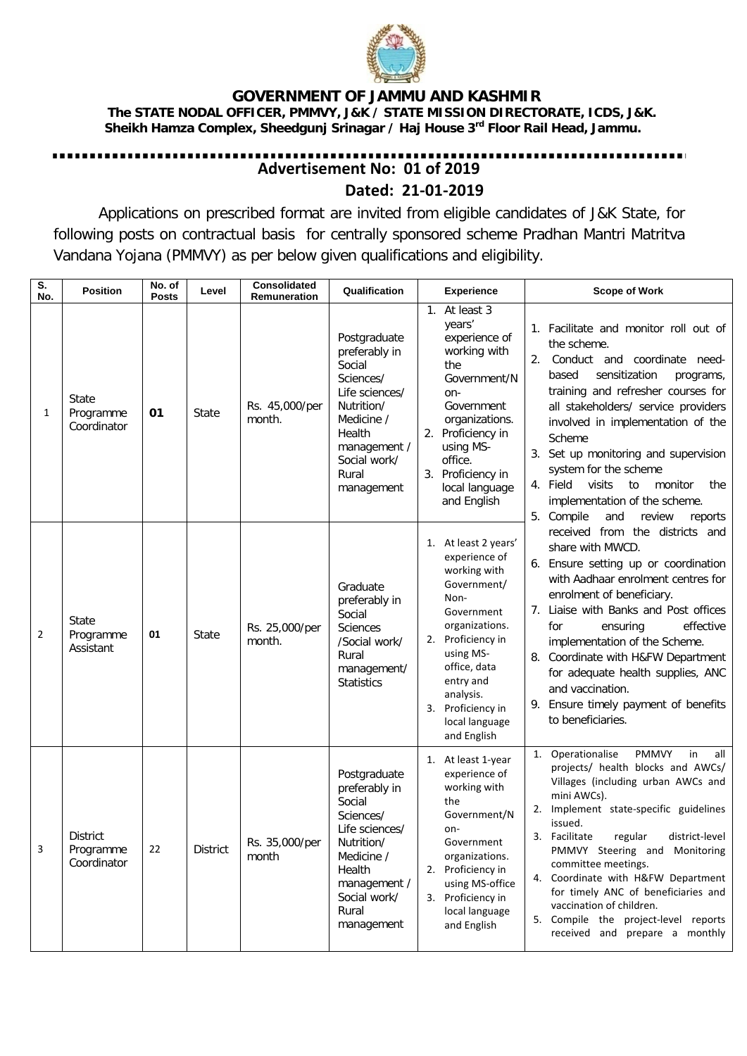

## **GOVERNMENT OF JAMMU AND KASHMIR**

 **The STATE NODAL OFFICER, PMMVY, J&K / STATE MISSION DIRECTORATE, ICDS, J&K. Sheikh Hamza Complex, Sheedgunj Srinagar / Haj House 3rd Floor Rail Head, Jammu.**

## . . . . . . . . . . . . . . . . . **Advertisement No: 01 of 2019 Dated: 21-01-2019**

Applications on prescribed format are invited from eligible candidates of J&K State, for following posts on contractual basis for centrally sponsored scheme Pradhan Mantri Matritva Vandana Yojana (PMMVY) as per below given qualifications and eligibility.

| S.<br>No. | <b>Position</b>                             | No. of<br>Posts | Level        | Consolidated<br>Remuneration | Qualification                                                                                                                                                       | <b>Experience</b>                                                                                                                                                                                                                              | <b>Scope of Work</b>                                                                                                                                                                                                                                                                                                                                                                                                                                                                                                                                                                                                                                                                                                                                                                                                                                                                               |
|-----------|---------------------------------------------|-----------------|--------------|------------------------------|---------------------------------------------------------------------------------------------------------------------------------------------------------------------|------------------------------------------------------------------------------------------------------------------------------------------------------------------------------------------------------------------------------------------------|----------------------------------------------------------------------------------------------------------------------------------------------------------------------------------------------------------------------------------------------------------------------------------------------------------------------------------------------------------------------------------------------------------------------------------------------------------------------------------------------------------------------------------------------------------------------------------------------------------------------------------------------------------------------------------------------------------------------------------------------------------------------------------------------------------------------------------------------------------------------------------------------------|
| 1         | State<br>Programme<br>Coordinator           | 01              | <b>State</b> | Rs. 45,000/per<br>month.     | Postgraduate<br>preferably in<br>Social<br>Sciences/<br>Life sciences/<br>Nutrition/<br>Medicine /<br>Health<br>management /<br>Social work/<br>Rural<br>management | 1. At least 3<br>years'<br>experience of<br>working with<br>the<br>Government/N<br>on-<br>Government<br>organizations.<br>2. Proficiency in<br>using MS-<br>office.<br>3. Proficiency in<br>local language<br>and English                      | 1. Facilitate and monitor roll out of<br>the scheme.<br>Conduct and<br>coordinate need-<br>2.<br>sensitization<br>based<br>programs,<br>training and refresher courses for<br>all stakeholders/ service providers<br>involved in implementation of the<br>Scheme<br>3. Set up monitoring and supervision<br>system for the scheme<br>4. Field<br>visits<br>to<br>monitor<br>the<br>implementation of the scheme.<br>5. Compile<br>and<br>review<br>reports<br>received from the districts and<br>share with MWCD.<br>6. Ensure setting up or coordination<br>with Aadhaar enrolment centres for<br>enrolment of beneficiary.<br>7. Liaise with Banks and Post offices<br>effective<br>for<br>ensuring<br>implementation of the Scheme.<br>8. Coordinate with H&FW Department<br>for adequate health supplies, ANC<br>and vaccination.<br>9. Ensure timely payment of benefits<br>to beneficiaries. |
| 2         | State<br>Programme<br>Assistant             | 01              | State        | Rs. 25,000/per<br>month.     | Graduate<br>preferably in<br>Social<br><b>Sciences</b><br>/Social work/<br>Rural<br>management/<br><b>Statistics</b>                                                | 1. At least 2 years'<br>experience of<br>working with<br>Government/<br>Non-<br>Government<br>organizations.<br>2. Proficiency in<br>using MS-<br>office, data<br>entry and<br>analysis.<br>3. Proficiency in<br>local language<br>and English |                                                                                                                                                                                                                                                                                                                                                                                                                                                                                                                                                                                                                                                                                                                                                                                                                                                                                                    |
| 3         | <b>District</b><br>Programme<br>Coordinator | 22              | District     | Rs. 35,000/per<br>month      | Postgraduate<br>preferably in<br>Social<br>Sciences/<br>Life sciences/<br>Nutrition/<br>Medicine /<br>Health<br>management /<br>Social work/<br>Rural<br>management | 1. At least 1-year<br>experience of<br>working with<br>the<br>Government/N<br>on-<br>Government<br>organizations.<br>2. Proficiency in<br>using MS-office<br>3. Proficiency in<br>local language<br>and English                                | Operationalise<br><b>PMMVY</b><br>in<br>all<br>1.<br>projects/ health blocks and AWCs/<br>Villages (including urban AWCs and<br>mini AWCs).<br>2. Implement state-specific guidelines<br>issued.<br>3.<br>Facilitate<br>regular<br>district-level<br>PMMVY Steering and Monitoring<br>committee meetings.<br>4. Coordinate with H&FW Department<br>for timely ANC of beneficiaries and<br>vaccination of children.<br>5. Compile the project-level reports<br>received and prepare a monthly                                                                                                                                                                                                                                                                                                                                                                                                       |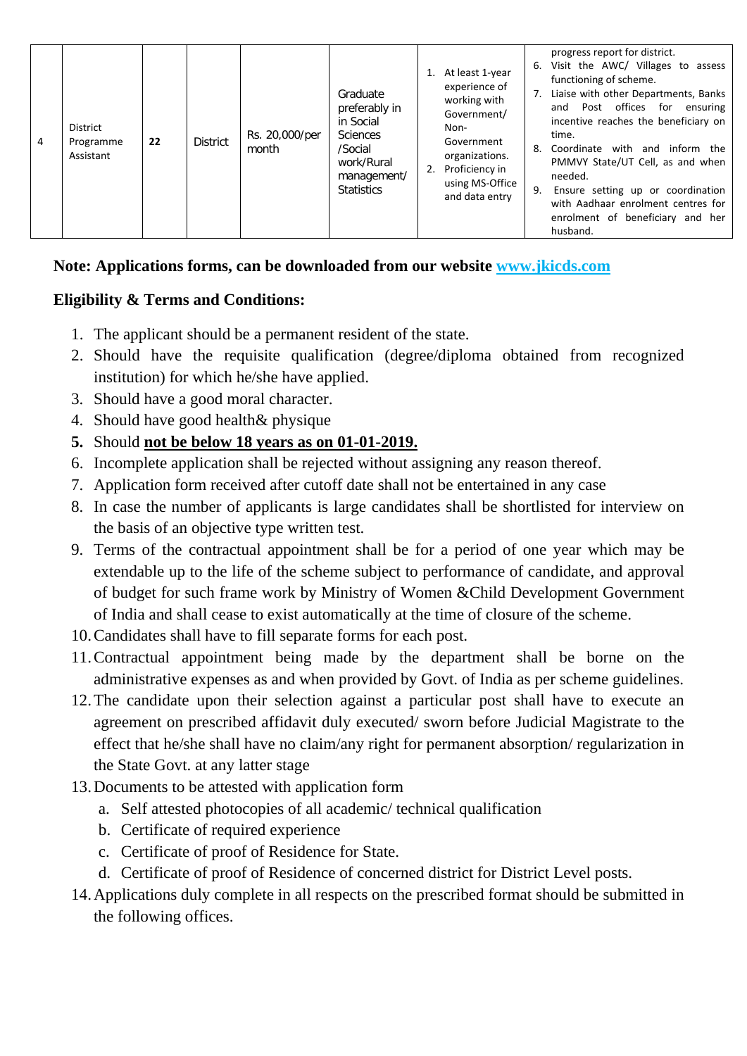| 4 | District<br>Programme<br>Assistant | 22 | <b>District</b> | Rs. 20,000/per<br>month | Graduate<br>preferably in<br>in Social<br><b>Sciences</b><br>/Social<br>work/Rural<br>management/<br><b>Statistics</b> | 2. | At least 1-year<br>experience of<br>working with<br>Government/<br>Non-<br>Government<br>organizations.<br>Proficiency in<br>using MS-Office<br>and data entry | 6.<br>7.<br>8.<br>9. | progress report for district.<br>Visit the AWC/ Villages to assess<br>functioning of scheme.<br>Liaise with other Departments, Banks<br>and Post offices for ensuring<br>incentive reaches the beneficiary on<br>time.<br>Coordinate with and inform the<br>PMMVY State/UT Cell, as and when<br>needed.<br>Ensure setting up or coordination<br>with Aadhaar enrolment centres for<br>enrolment of beneficiary and her<br>husband. |
|---|------------------------------------|----|-----------------|-------------------------|------------------------------------------------------------------------------------------------------------------------|----|----------------------------------------------------------------------------------------------------------------------------------------------------------------|----------------------|------------------------------------------------------------------------------------------------------------------------------------------------------------------------------------------------------------------------------------------------------------------------------------------------------------------------------------------------------------------------------------------------------------------------------------|
|---|------------------------------------|----|-----------------|-------------------------|------------------------------------------------------------------------------------------------------------------------|----|----------------------------------------------------------------------------------------------------------------------------------------------------------------|----------------------|------------------------------------------------------------------------------------------------------------------------------------------------------------------------------------------------------------------------------------------------------------------------------------------------------------------------------------------------------------------------------------------------------------------------------------|

## **Note: Applications forms, can be downloaded from our website www.jkicds.com**

## **Eligibility & Terms and Conditions:**

- 1. The applicant should be a permanent resident of the state.
- 2. Should have the requisite qualification (degree/diploma obtained from recognized institution) for which he/she have applied.
- 3. Should have a good moral character.
- 4. Should have good health& physique
- **5.** Should **not be below 18 years as on 01-01-2019.**
- 6. Incomplete application shall be rejected without assigning any reason thereof.
- 7. Application form received after cutoff date shall not be entertained in any case
- 8. In case the number of applicants is large candidates shall be shortlisted for interview on the basis of an objective type written test.
- 9. Terms of the contractual appointment shall be for a period of one year which may be extendable up to the life of the scheme subject to performance of candidate, and approval of budget for such frame work by Ministry of Women &Child Development Government of India and shall cease to exist automatically at the time of closure of the scheme.
- 10.Candidates shall have to fill separate forms for each post.
- 11.Contractual appointment being made by the department shall be borne on the administrative expenses as and when provided by Govt. of India as per scheme guidelines.
- 12.The candidate upon their selection against a particular post shall have to execute an agreement on prescribed affidavit duly executed/ sworn before Judicial Magistrate to the effect that he/she shall have no claim/any right for permanent absorption/ regularization in the State Govt. at any latter stage
- 13.Documents to be attested with application form
	- a. Self attested photocopies of all academic/ technical qualification
	- b. Certificate of required experience
	- c. Certificate of proof of Residence for State.
	- d. Certificate of proof of Residence of concerned district for District Level posts.
- 14.Applications duly complete in all respects on the prescribed format should be submitted in the following offices.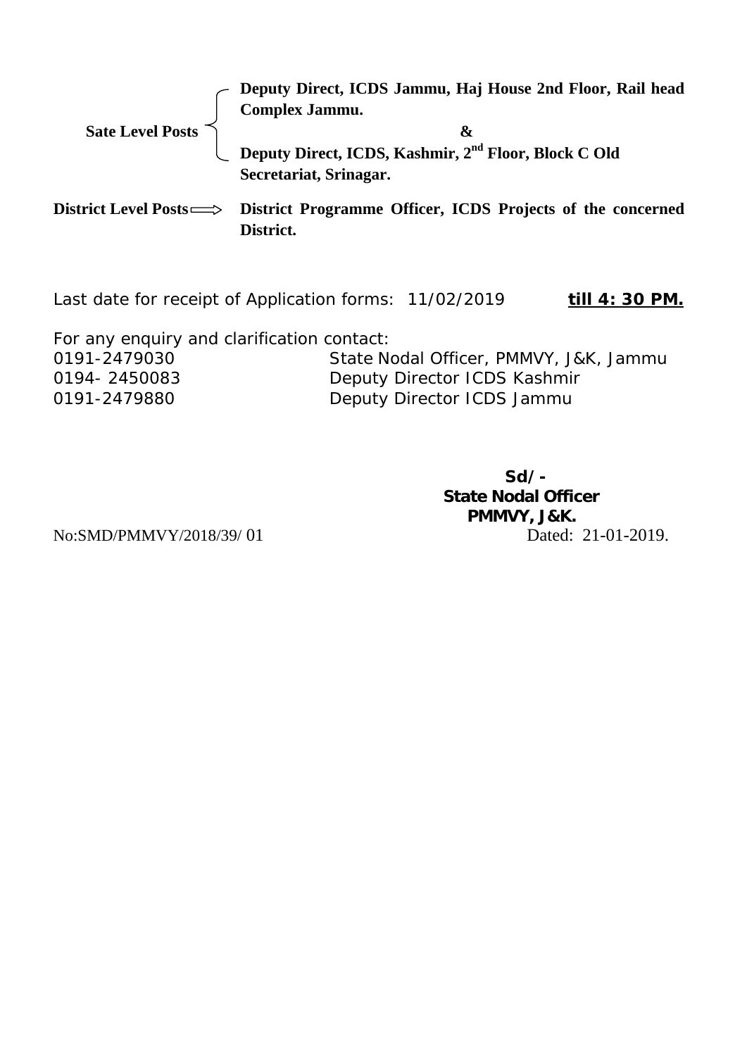|                  | Deputy Direct, ICDS Jammu, Haj House 2nd Floor, Rail head<br>Complex Jammu.                       |
|------------------|---------------------------------------------------------------------------------------------------|
|                  |                                                                                                   |
| Sate Level Posts | X.                                                                                                |
|                  | Deputy Direct, ICDS, Kashmir, 2 <sup>nd</sup> Floor, Block C Old                                  |
|                  | Secretariat, Srinagar.                                                                            |
|                  | District Level Posts $\Longrightarrow$ District Programme Officer, ICDS Projects of the concerned |

**District.** 

Last date for receipt of Application forms: 11/02/2019 **till 4: 30 PM.** 

For any enquiry and clarification contact:

0191-2479030 State Nodal Officer, PMMVY, J&K, Jammu 0194- 2450083 Deputy Director ICDS Kashmir 0191-2479880 Deputy Director ICDS Jammu

**Sd/- State Nodal Officer PMMVY, J&K.** No:SMD/PMMVY/2018/39/ 01 Dated: 21-01-2019.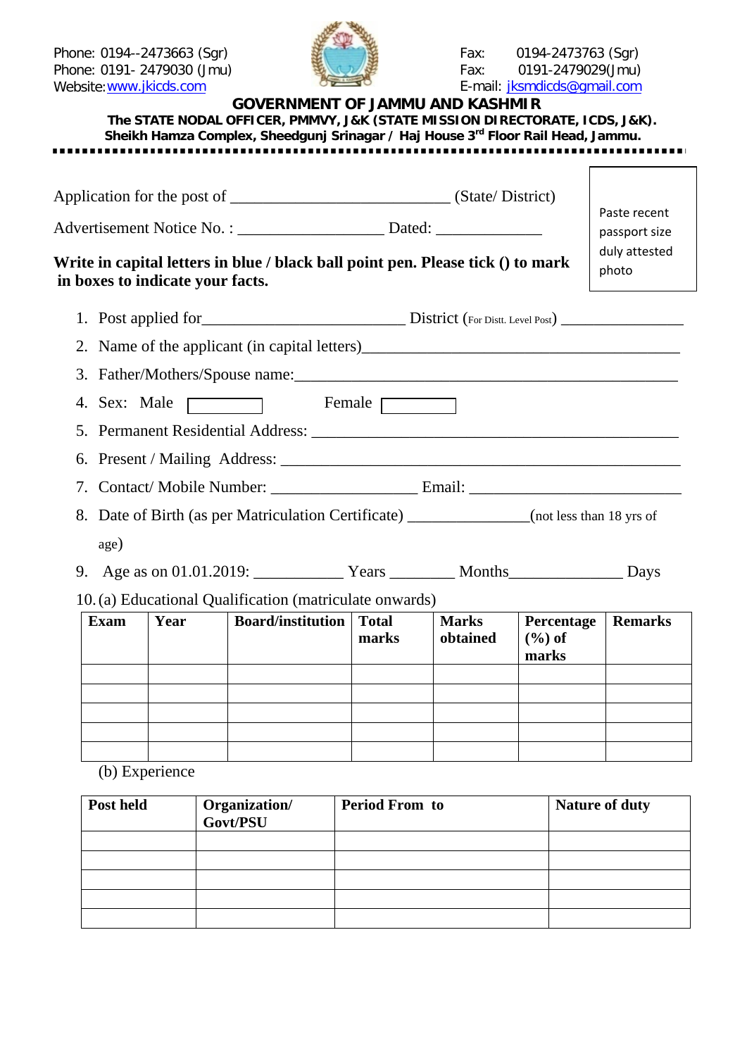Phone: 0191- 2479030 (Jmu)<br>Website: www.jkicds.com



Phone: 0194--2473663 (Sgr) Fax: 0194-2473763 (Sgr) E-mail: [jksmdicds@gmail.com](mailto:jksmdicds@gmail.com)

|                                                                                                                     | <b>GOVERNMENT OF JAMMU AND KASHMIR</b><br>The STATE NODAL OFFICER, PMMVY, J&K (STATE MISSION DIRECTORATE, ICDS, J&K).<br>Sheikh Hamza Complex, Sheedgunj Srinagar / Haj House 3rd Floor Rail Head, Jammu. |                |                          |                                   |                        |
|---------------------------------------------------------------------------------------------------------------------|-----------------------------------------------------------------------------------------------------------------------------------------------------------------------------------------------------------|----------------|--------------------------|-----------------------------------|------------------------|
|                                                                                                                     |                                                                                                                                                                                                           |                |                          |                                   | Paste recent           |
|                                                                                                                     |                                                                                                                                                                                                           |                |                          |                                   | passport size          |
| Write in capital letters in blue / black ball point pen. Please tick () to mark<br>in boxes to indicate your facts. |                                                                                                                                                                                                           |                |                          |                                   | duly attested<br>photo |
|                                                                                                                     |                                                                                                                                                                                                           |                |                          |                                   |                        |
|                                                                                                                     |                                                                                                                                                                                                           |                |                          |                                   |                        |
|                                                                                                                     |                                                                                                                                                                                                           |                |                          |                                   |                        |
|                                                                                                                     | 4. Sex: Male Female Female                                                                                                                                                                                |                |                          |                                   |                        |
|                                                                                                                     |                                                                                                                                                                                                           |                |                          |                                   |                        |
|                                                                                                                     |                                                                                                                                                                                                           |                |                          |                                   |                        |
|                                                                                                                     |                                                                                                                                                                                                           |                |                          |                                   |                        |
|                                                                                                                     | 8. Date of Birth (as per Matriculation Certificate) ______________(not less than 18 yrs of                                                                                                                |                |                          |                                   |                        |
| age)                                                                                                                |                                                                                                                                                                                                           |                |                          |                                   |                        |
|                                                                                                                     |                                                                                                                                                                                                           |                |                          |                                   |                        |
|                                                                                                                     | 10. (a) Educational Qualification (matriculate onwards)                                                                                                                                                   |                |                          |                                   |                        |
| <b>Exam</b><br>Year                                                                                                 | <b>Board/institution</b> Total                                                                                                                                                                            | marks          | <b>Marks</b><br>obtained | Percentage<br>$(\% )$ of<br>marks | <b>Remarks</b>         |
|                                                                                                                     |                                                                                                                                                                                                           |                |                          |                                   |                        |
|                                                                                                                     |                                                                                                                                                                                                           |                |                          |                                   |                        |
|                                                                                                                     |                                                                                                                                                                                                           |                |                          |                                   |                        |
| (b) Experience                                                                                                      |                                                                                                                                                                                                           |                |                          |                                   |                        |
| Post held                                                                                                           | Organization/<br>Govt/PSU                                                                                                                                                                                 | Period From to |                          |                                   | Nature of duty         |